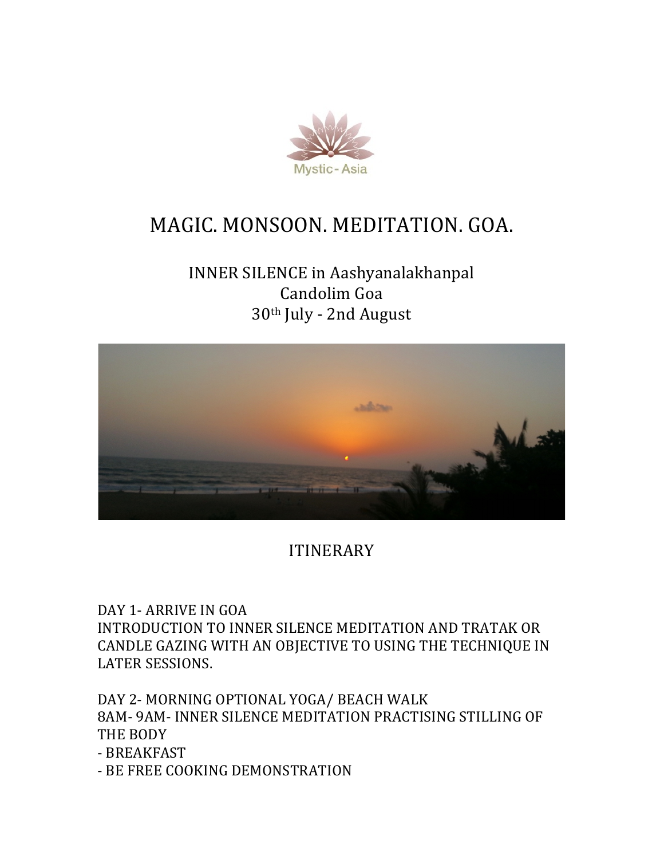

# MAGIC. MONSOON. MEDITATION. GOA.

## INNER SILENCE in Aashyanalakhanpal Candolim Goa 30<sup>th</sup> July - 2nd August



ITINERARY

DAY 1- ARRIVE IN GOA INTRODUCTION TO INNER SILENCE MEDITATION AND TRATAK OR CANDLE GAZING WITH AN OBJECTIVE TO USING THE TECHNIQUE IN LATER SESSIONS.

DAY 2- MORNING OPTIONAL YOGA/ BEACH WALK 8AM- 9AM- INNER SILENCE MEDITATION PRACTISING STILLING OF THE BODY

- BREAKFAST

- BE FREE COOKING DEMONSTRATION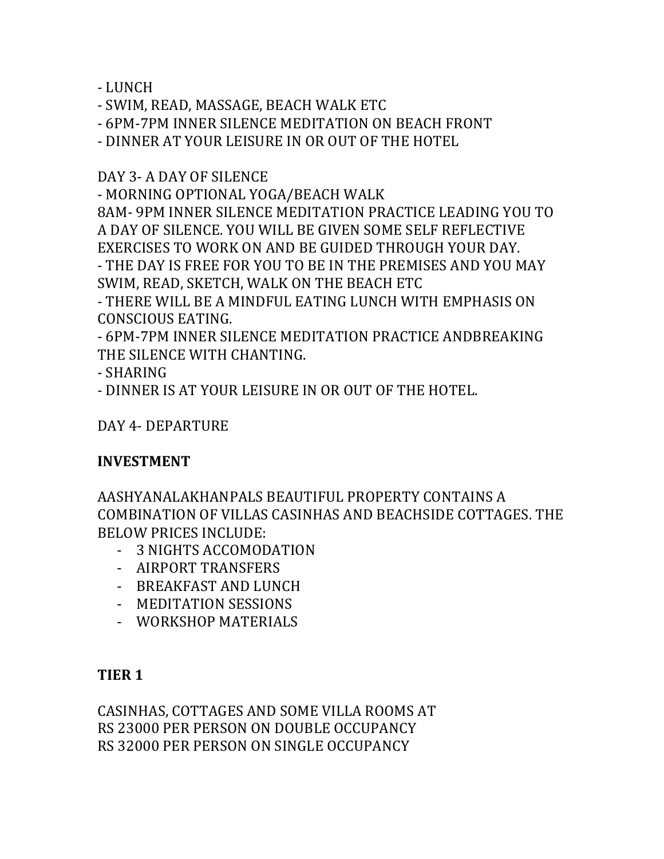- LUNCH

- SWIM, READ, MASSAGE, BEACH WALK ETC

- 6PM-7PM INNER SILENCE MEDITATION ON BEACH FRONT

- DINNER AT YOUR LEISURE IN OR OUT OF THE HOTEL

#### DAY 3- A DAY OF SILENCE

- MORNING OPTIONAL YOGA/BEACH WALK

8AM- 9PM INNER SILENCE MEDITATION PRACTICE LEADING YOU TO A DAY OF SILENCE. YOU WILL BE GIVEN SOME SELF REFLECTIVE EXERCISES TO WORK ON AND BE GUIDED THROUGH YOUR DAY.

- THE DAY IS FREE FOR YOU TO BE IN THE PREMISES AND YOU MAY SWIM, READ, SKETCH, WALK ON THE BEACH ETC

- THERE WILL BE A MINDFUL EATING LUNCH WITH EMPHASIS ON CONSCIOUS EATING.

- 6PM-7PM INNER SILENCE MEDITATION PRACTICE ANDBREAKING THE SILENCE WITH CHANTING.

- SHARING

- DINNER IS AT YOUR LEISURE IN OR OUT OF THE HOTEL.

DAY 4- DEPARTURE

#### **INVESTMENT**

AASHYANALAKHANPALS BEAUTIFUL PROPERTY CONTAINS A COMBINATION OF VILLAS CASINHAS AND BEACHSIDE COTTAGES. THE BELOW PRICES INCLUDE:

- 3 NIGHTS ACCOMODATION
- AIRPORT TRANSFERS
- BREAKFAST AND LUNCH
- MEDITATION SESSIONS
- WORKSHOP MATERIALS

### **TIER 1**

CASINHAS, COTTAGES AND SOME VILLA ROOMS AT RS 23000 PER PERSON ON DOUBLE OCCUPANCY RS 32000 PER PERSON ON SINGLE OCCUPANCY